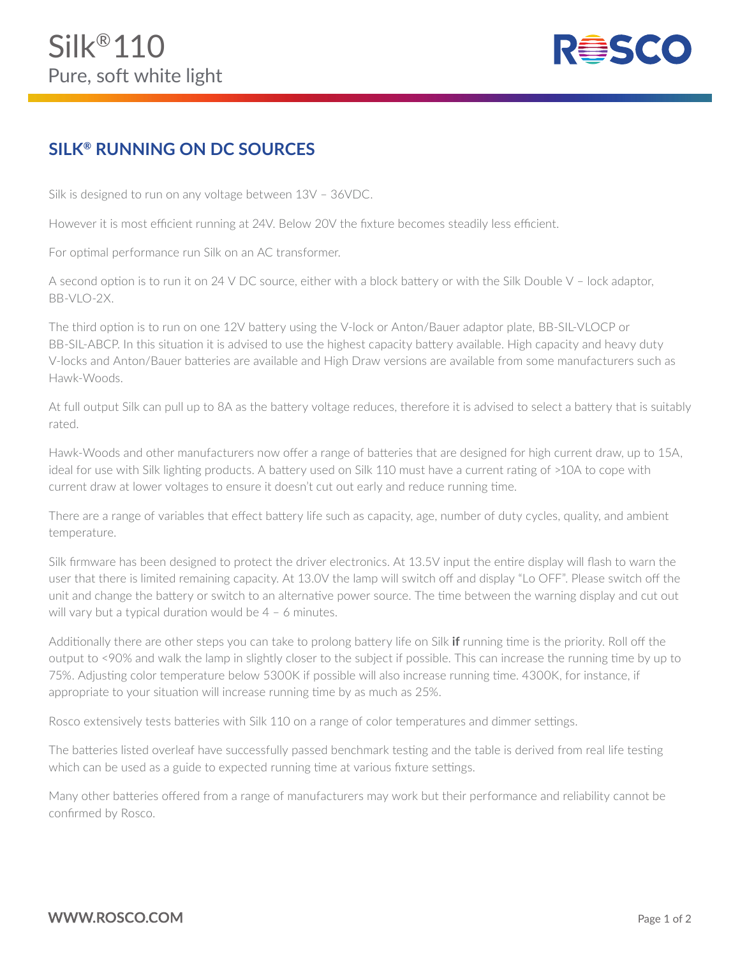

## **SILK® RUNNING ON DC SOURCES**

Silk is designed to run on any voltage between 13V – 36VDC.

However it is most efficient running at 24V. Below 20V the fixture becomes steadily less efficient.

For optimal performance run Silk on an AC transformer.

A second option is to run it on 24 V DC source, either with a block battery or with the Silk Double V – lock adaptor, BB-VLO-2X.

The third option is to run on one 12V battery using the V-lock or Anton/Bauer adaptor plate, BB-SIL-VLOCP or BB-SIL-ABCP. In this situation it is advised to use the highest capacity battery available. High capacity and heavy duty V-locks and Anton/Bauer batteries are available and High Draw versions are available from some manufacturers such as Hawk-Woods.

At full output Silk can pull up to 8A as the battery voltage reduces, therefore it is advised to select a battery that is suitably rated.

Hawk-Woods and other manufacturers now offer a range of batteries that are designed for high current draw, up to 15A, ideal for use with Silk lighting products. A battery used on Silk 110 must have a current rating of >10A to cope with current draw at lower voltages to ensure it doesn't cut out early and reduce running time.

There are a range of variables that effect battery life such as capacity, age, number of duty cycles, quality, and ambient temperature.

Silk firmware has been designed to protect the driver electronics. At 13.5V input the entire display will flash to warn the user that there is limited remaining capacity. At 13.0V the lamp will switch off and display "Lo OFF". Please switch off the unit and change the battery or switch to an alternative power source. The time between the warning display and cut out will vary but a typical duration would be 4 - 6 minutes.

Additionally there are other steps you can take to prolong battery life on Silk **if** running time is the priority. Roll off the output to <90% and walk the lamp in slightly closer to the subject if possible. This can increase the running time by up to 75%. Adjusting color temperature below 5300K if possible will also increase running time. 4300K, for instance, if appropriate to your situation will increase running time by as much as 25%.

Rosco extensively tests batteries with Silk 110 on a range of color temperatures and dimmer settings.

The batteries listed overleaf have successfully passed benchmark testing and the table is derived from real life testing which can be used as a guide to expected running time at various fixture settings.

Many other batteries offered from a range of manufacturers may work but their performance and reliability cannot be confirmed by Rosco.